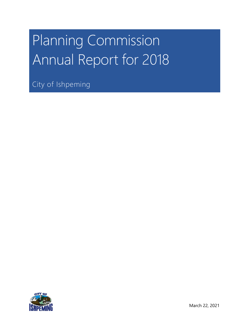# Planning Commission Annual Report for 2018

City of Ishpeming

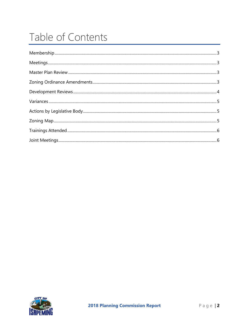# Table of Contents

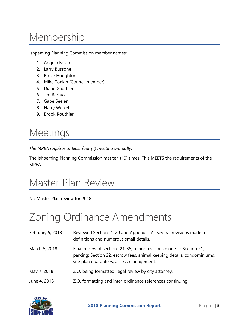# <span id="page-2-0"></span>Membership

Ishpeming Planning Commission member names:

- 1. Angelo Bosio
- 2. Larry Bussone
- 3. Bruce Houghton
- 4. Mike Tonkin (Council member)
- 5. Diane Gauthier
- 6. Jim Bertucci
- 7. Gabe Seelen
- 8. Harry Weikel
- 9. Brook Routhier

#### <span id="page-2-1"></span>Meetings

*The MPEA requires at least four (4) meeting annually.*

The Ishpeming Planning Commission met ten (10) times. This MEETS the requirements of the MPEA.

#### <span id="page-2-2"></span>Master Plan Review

<span id="page-2-3"></span>No Master Plan review for 2018.

#### Zoning Ordinance Amendments

| February 5, 2018 | Reviewed Sections 1-20 and Appendix 'A'; several revisions made to<br>definitions and numerous small details.                                                                              |
|------------------|--------------------------------------------------------------------------------------------------------------------------------------------------------------------------------------------|
| March 5, 2018    | Final review of sections 21-35; minor revisions made to Section 21,<br>parking; Section 22, escrow fees, animal keeping details, condominiums,<br>site plan quarantees, access management. |
| May 7, 2018      | Z.O. being formatted; legal review by city attorney.                                                                                                                                       |
| June 4, 2018     | Z.O. formatting and inter-ordinance references continuing.                                                                                                                                 |

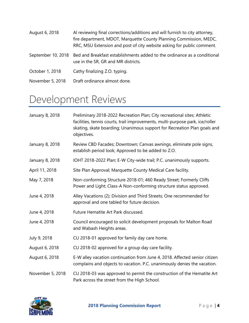| August 6, 2018   | Al reviewing final corrections/additions and will furnish to city attorney,<br>fire department, MDOT, Marquette County Planning Commission, MEDC,<br>RRC, MSU Extension and post of city website asking for public comment. |
|------------------|-----------------------------------------------------------------------------------------------------------------------------------------------------------------------------------------------------------------------------|
|                  | September 10, 2018 Bed and Breakfast establishments added to the ordinance as a conditional<br>use in the SR, GR and MR districts.                                                                                          |
| October 1, 2018  | Cathy finalizing Z.O. typing.                                                                                                                                                                                               |
| November 5, 2018 | Draft ordinance almost done.                                                                                                                                                                                                |

#### <span id="page-3-0"></span>Development Reviews

| January 8, 2018  | Preliminary 2018-2022 Recreation Plan; City recreational sites; Athletic<br>facilities, tennis courts, trail improvements, multi-purpose park, ice/roller<br>skating, skate boarding; Unanimous support for Recreation Plan goals and<br>objectives. |
|------------------|------------------------------------------------------------------------------------------------------------------------------------------------------------------------------------------------------------------------------------------------------|
| January 8, 2018  | Review CBD Facades; Downtown; Canvas awnings, eliminate pole signs,<br>establish period look; Approved to be added to Z.O.                                                                                                                           |
| January 8, 2018  | IOHT 2018-2022 Plan; E-W City-wide trail; P.C. unanimously supports.                                                                                                                                                                                 |
| April 11, 2018   | Site Plan Approval; Marquette County Medical Care facility.                                                                                                                                                                                          |
| May 7, 2018      | Non-conforming Structure 2018-01; 460 Ready Street; Formerly Cliffs<br>Power and Light; Class-A Non-conforming structure status approved.                                                                                                            |
| June 4, 2018     | Alley Vacations (2); Division and Third Streets; One recommended for<br>approval and one tabled for future decision.                                                                                                                                 |
| June 4, 2018     | Future Hematite Art Park discussed.                                                                                                                                                                                                                  |
| June 4, 2018     | Council encouraged to solicit development proposals for Malton Road<br>and Wabash Heights areas.                                                                                                                                                     |
| July 9, 2018     | CU 2018-01 approved for family day care home.                                                                                                                                                                                                        |
| August 6, 2018   | CU 2018-02 approved for a group day care facility.                                                                                                                                                                                                   |
| August 6, 2018   | E-W alley vacation continuation from June 4, 2018. Affected senior citizen<br>complains and objects to vacation. P.C. unanimously denies the vacation.                                                                                               |
| November 5, 2018 | CU 2018-03 was approved to permit the construction of the Hematite Art<br>Park across the street from the High School.                                                                                                                               |

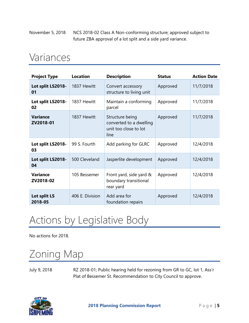November 5, 2018 NCS 2018-02 Class A Non-conforming structure; approved subject to future ZBA approval of a lot split and a side yard variance.

#### <span id="page-4-0"></span>Variances

| <b>Project Type</b>          | <b>Location</b> | <b>Description</b>                                                          | <b>Status</b> | <b>Action Date</b> |
|------------------------------|-----------------|-----------------------------------------------------------------------------|---------------|--------------------|
| Lot split LS2018-<br>01      | 1837 Hewitt     | Convert accessory<br>structure to living unit                               | Approved      | 11/7/2018          |
| Lot split LS2018-<br>02      | 1837 Hewitt     | Maintain a conforming<br>parcel                                             | Approved      | 11/7/2018          |
| <b>Variance</b><br>ZV2018-01 | 1837 Hewitt     | Structure being<br>converted to a dwelling<br>unit too close to lot<br>line | Approved      | 11/7/2018          |
| Lot split LS2018-<br>03      | 99 S. Fourth    | Add parking for GLRC                                                        | Approved      | 12/4/2018          |
| Lot split LS2018-<br>04      | 500 Cleveland   | Jasperlite development                                                      | Approved      | 12/4/2018          |
| <b>Variance</b><br>ZV2018-02 | 105 Bessemer    | Front yard, side yard &<br>boundary transitional<br>rear yard               | Approved      | 12/4/2018          |
| Lot split LS<br>2018-05      | 406 E. Division | Add area for<br>foundation repairs                                          | Approved      | 12/4/2018          |

# <span id="page-4-1"></span>Actions by Legislative Body

<span id="page-4-2"></span>No actions for 2018.

# Zoning Map

July 9, 2018 RZ 2018-01; Public hearing held for rezoning from GR to GC, lot 1, Ass'r Plat of Bessemer St. Recommendation to City Council to approve.